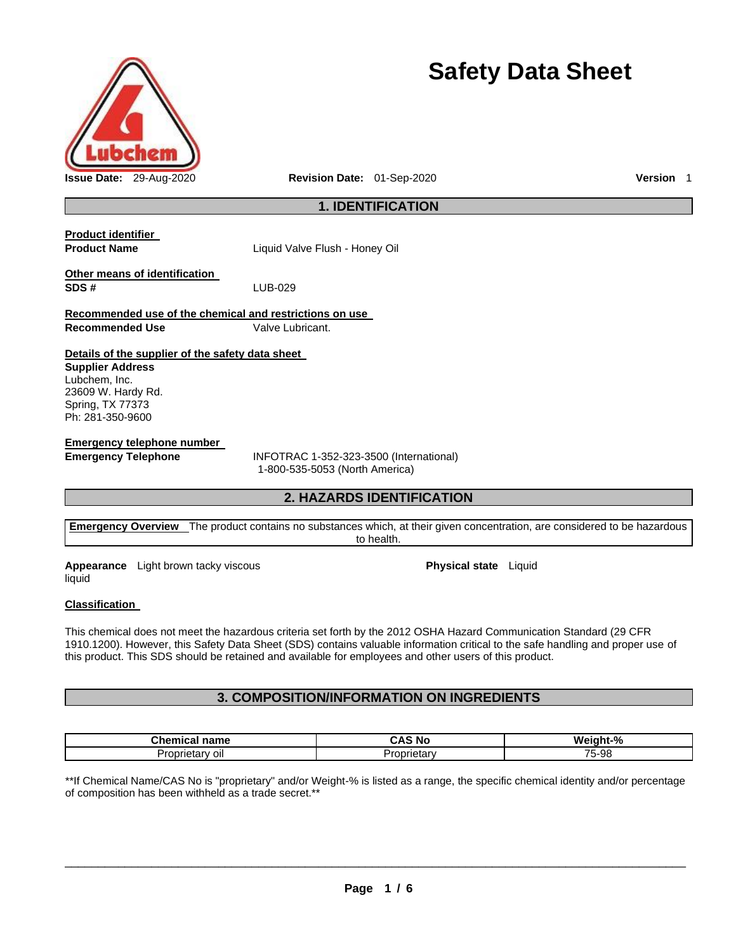

# **Safety Data Sheet**

# **1. IDENTIFICATION**

| <b>Product identifier</b>                                                         |                                                                           |
|-----------------------------------------------------------------------------------|---------------------------------------------------------------------------|
| <b>Product Name</b>                                                               | Liquid Valve Flush - Honey Oil                                            |
| Other means of identification<br>SDS#                                             | LUB-029                                                                   |
| Recommended use of the chemical and restrictions on use<br><b>Recommended Use</b> | Valve Lubricant.                                                          |
|                                                                                   |                                                                           |
| Details of the supplier of the safety data sheet                                  |                                                                           |
| <b>Supplier Address</b>                                                           |                                                                           |
| Lubchem, Inc.<br>23609 W. Hardy Rd.                                               |                                                                           |
| Spring, TX 77373                                                                  |                                                                           |
| Ph: 281-350-9600                                                                  |                                                                           |
| Emergency telephone number                                                        |                                                                           |
| <b>Emergency Telephone</b>                                                        | INFOTRAC 1-352-323-3500 (International)<br>1-800-535-5053 (North America) |

# **2. HAZARDS IDENTIFICATION**

**Emergency Overview** The product contains no substances which, at their given concentration, are considered to be hazardous to health.

**Appearance** Light brown tacky viscous liquid

**Physical state** Liquid

## **Classification**

This chemical does not meet the hazardous criteria set forth by the 2012 OSHA Hazard Communication Standard (29 CFR 1910.1200). However, this Safety Data Sheet (SDS) contains valuable information critical to the safe handling and proper use of this product. This SDS should be retained and available for employees and other users of this product.

# **3. COMPOSITION/INFORMATION ON INGREDIENTS**

| .<br>name<br>шсаг              | ÷А<br>N0                   | ht-%<br>W۵<br>חו |
|--------------------------------|----------------------------|------------------|
| ΟII<br>…darv <i>—</i><br>.ophe | min<br>— Ure∴<br>coprietan | 75-98            |

\*\*If Chemical Name/CAS No is "proprietary" and/or Weight-% is listed as a range, the specific chemical identity and/or percentage of composition has been withheld as a trade secret.\*\*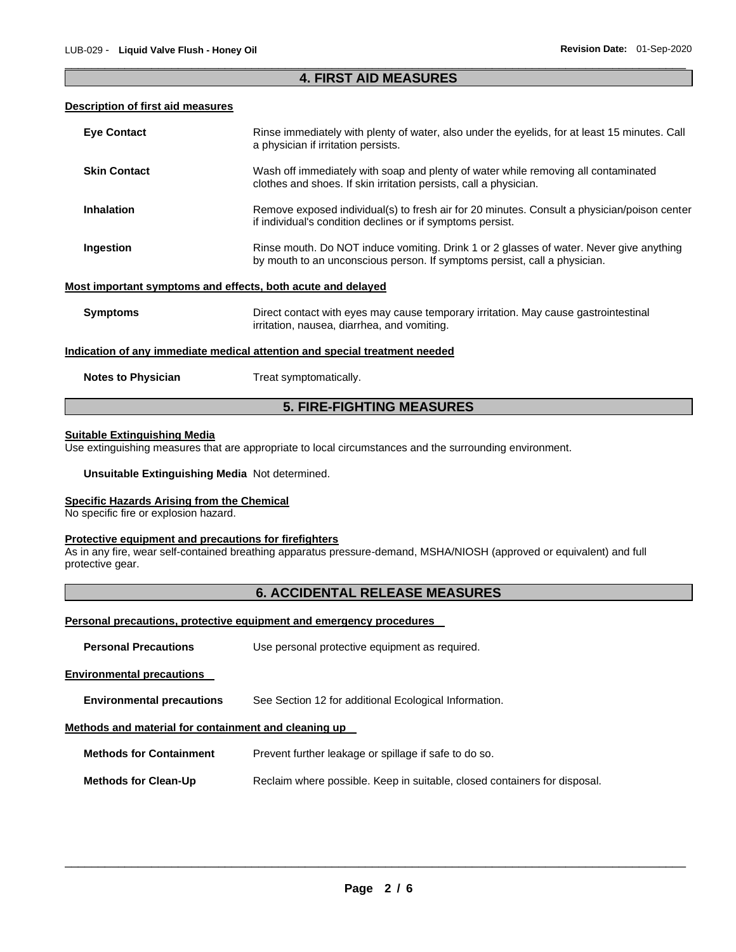## \_\_\_\_\_\_\_\_\_\_\_\_\_\_\_\_\_\_\_\_\_\_\_\_\_\_\_\_\_\_\_\_\_\_\_\_\_\_\_\_\_\_\_\_\_\_\_\_\_\_\_\_\_\_\_\_\_\_\_\_\_\_\_\_\_\_\_\_\_\_\_\_\_\_\_\_\_\_\_\_\_\_\_\_\_\_\_\_\_\_\_\_\_ **4. FIRST AID MEASURES**

## **Description of first aid measures**

| <b>Eye Contact</b>                                          | Rinse immediately with plenty of water, also under the eyelids, for at least 15 minutes. Call<br>a physician if irritation persists.                                 |
|-------------------------------------------------------------|----------------------------------------------------------------------------------------------------------------------------------------------------------------------|
| <b>Skin Contact</b>                                         | Wash off immediately with soap and plenty of water while removing all contaminated<br>clothes and shoes. If skin irritation persists, call a physician.              |
| <b>Inhalation</b>                                           | Remove exposed individual(s) to fresh air for 20 minutes. Consult a physician/poison center<br>if individual's condition declines or if symptoms persist.            |
| Ingestion                                                   | Rinse mouth. Do NOT induce vomiting. Drink 1 or 2 glasses of water. Never give anything<br>by mouth to an unconscious person. If symptoms persist, call a physician. |
| Most important symptoms and effects, both acute and delayed |                                                                                                                                                                      |
| <b>Symptoms</b>                                             | Direct contact with eyes may cause temporary irritation. May cause gastrointestinal<br>irritation, nausea, diarrhea, and vomiting.                                   |
|                                                             | Indication of any immediate medical attention and special treatment needed                                                                                           |
| <b>Notes to Physician</b>                                   | Treat symptomatically.                                                                                                                                               |

# **5. FIRE-FIGHTING MEASURES**

## **Suitable Extinguishing Media**

Use extinguishing measures that are appropriate to local circumstances and the surrounding environment.

## **Unsuitable Extinguishing Media** Not determined.

## **Specific Hazards Arising from the Chemical**

No specific fire or explosion hazard.

#### **Protective equipment and precautions for firefighters**

As in any fire, wear self-contained breathing apparatus pressure-demand, MSHA/NIOSH (approved or equivalent) and full protective gear.

## **6. ACCIDENTAL RELEASE MEASURES**

## **Personal precautions, protective equipment and emergency procedures**

| <b>Personal Precautions</b>                          | Use personal protective equipment as required.                            |  |  |  |
|------------------------------------------------------|---------------------------------------------------------------------------|--|--|--|
| <b>Environmental precautions</b>                     |                                                                           |  |  |  |
| <b>Environmental precautions</b>                     | See Section 12 for additional Ecological Information.                     |  |  |  |
| Methods and material for containment and cleaning up |                                                                           |  |  |  |
| <b>Methods for Containment</b>                       | Prevent further leakage or spillage if safe to do so.                     |  |  |  |
| <b>Methods for Clean-Up</b>                          | Reclaim where possible. Keep in suitable, closed containers for disposal. |  |  |  |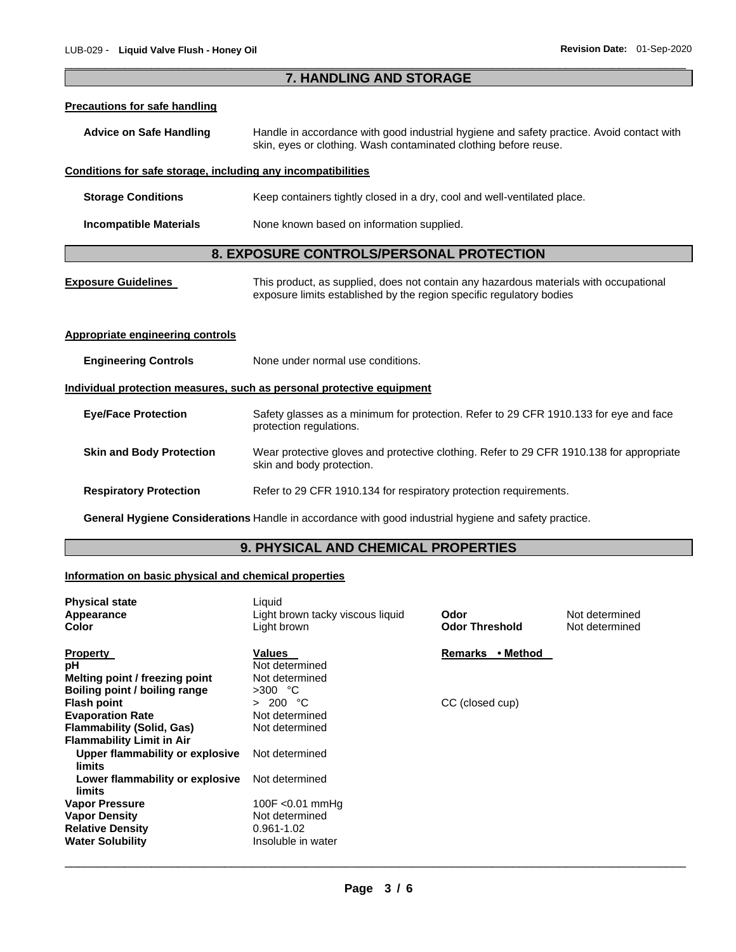| 7. HANDLING AND STORAGE                                                                               |                                                                                                                                                               |  |  |
|-------------------------------------------------------------------------------------------------------|---------------------------------------------------------------------------------------------------------------------------------------------------------------|--|--|
| <b>Precautions for safe handling</b>                                                                  |                                                                                                                                                               |  |  |
| <b>Advice on Safe Handling</b>                                                                        | Handle in accordance with good industrial hygiene and safety practice. Avoid contact with<br>skin, eyes or clothing. Wash contaminated clothing before reuse. |  |  |
| Conditions for safe storage, including any incompatibilities                                          |                                                                                                                                                               |  |  |
| <b>Storage Conditions</b>                                                                             | Keep containers tightly closed in a dry, cool and well-ventilated place.                                                                                      |  |  |
| None known based on information supplied.<br><b>Incompatible Materials</b>                            |                                                                                                                                                               |  |  |
| 8. EXPOSURE CONTROLS/PERSONAL PROTECTION                                                              |                                                                                                                                                               |  |  |
| <b>Exposure Guidelines</b>                                                                            | This product, as supplied, does not contain any hazardous materials with occupational<br>exposure limits established by the region specific regulatory bodies |  |  |
| <b>Appropriate engineering controls</b>                                                               |                                                                                                                                                               |  |  |
| <b>Engineering Controls</b>                                                                           | None under normal use conditions.                                                                                                                             |  |  |
| Individual protection measures, such as personal protective equipment                                 |                                                                                                                                                               |  |  |
| <b>Eye/Face Protection</b>                                                                            | Safety glasses as a minimum for protection. Refer to 29 CFR 1910.133 for eye and face<br>protection regulations.                                              |  |  |
| <b>Skin and Body Protection</b>                                                                       | Wear protective gloves and protective clothing. Refer to 29 CFR 1910.138 for appropriate<br>skin and body protection.                                         |  |  |
| <b>Respiratory Protection</b>                                                                         | Refer to 29 CFR 1910.134 for respiratory protection requirements.                                                                                             |  |  |
| General Hygiene Considerations Handle in accordance with good industrial hygiene and safety practice. |                                                                                                                                                               |  |  |
| 9. PHYSICAL AND CHEMICAL PROPERTIES                                                                   |                                                                                                                                                               |  |  |

\_\_\_\_\_\_\_\_\_\_\_\_\_\_\_\_\_\_\_\_\_\_\_\_\_\_\_\_\_\_\_\_\_\_\_\_\_\_\_\_\_\_\_\_\_\_\_\_\_\_\_\_\_\_\_\_\_\_\_\_\_\_\_\_\_\_\_\_\_\_\_\_\_\_\_\_\_\_\_\_\_\_\_\_\_\_\_\_\_\_\_\_\_

# **Information on basic physical and chemical properties**

| <b>Physical state</b><br>Appearance<br>Color                                                                          | Liquid<br>Light brown tacky viscous liquid<br>Light brown                | Odor<br><b>Odor Threshold</b> | Not determined<br>Not determined |
|-----------------------------------------------------------------------------------------------------------------------|--------------------------------------------------------------------------|-------------------------------|----------------------------------|
| <b>Property</b><br>рH<br>Melting point / freezing point<br>Boiling point / boiling range                              | <b>Values</b><br>Not determined<br>Not determined<br>$>300$ °C           | • Method<br>Remarks           |                                  |
| <b>Flash point</b><br><b>Evaporation Rate</b><br><b>Flammability (Solid, Gas)</b><br><b>Flammability Limit in Air</b> | > 200 °C<br>Not determined<br>Not determined                             | CC (closed cup)               |                                  |
| Upper flammability or explosive<br>limits                                                                             | Not determined                                                           |                               |                                  |
| Lower flammability or explosive<br>limits                                                                             | Not determined                                                           |                               |                                  |
| <b>Vapor Pressure</b><br><b>Vapor Density</b><br><b>Relative Density</b><br><b>Water Solubility</b>                   | 100F < $0.01$ mmHg<br>Not determined<br>0.961-1.02<br>Insoluble in water |                               |                                  |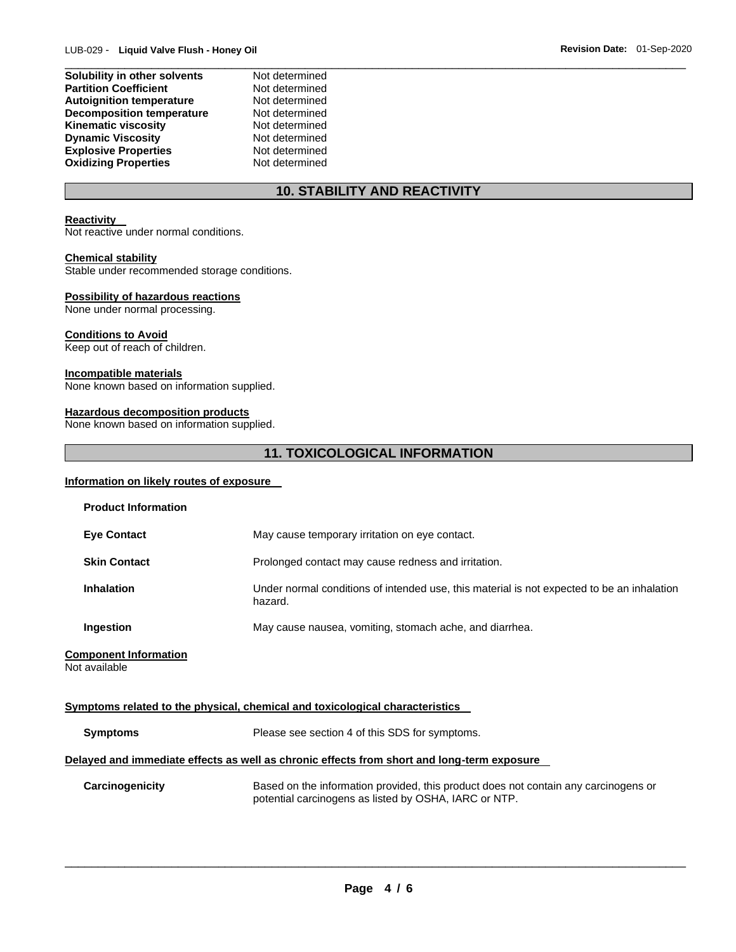| Solubility in other solvents     | Not determined |  |
|----------------------------------|----------------|--|
| <b>Partition Coefficient</b>     | Not determined |  |
| <b>Autoignition temperature</b>  | Not determined |  |
| <b>Decomposition temperature</b> | Not determined |  |
| Kinematic viscosity              | Not determined |  |
| <b>Dynamic Viscosity</b>         | Not determined |  |
| <b>Explosive Properties</b>      | Not determined |  |
| <b>Oxidizing Properties</b>      | Not determined |  |
|                                  |                |  |

# **10. STABILITY AND REACTIVITY**

## **Reactivity**

Not reactive under normal conditions.

## **Chemical stability**

Stable under recommended storage conditions.

## **Possibility of hazardous reactions**

None under normal processing.

## **Conditions to Avoid**

Keep out of reach of children.

#### **Incompatible materials**

None known based on information supplied.

## **Hazardous decomposition products**

None known based on information supplied.

# **11. TOXICOLOGICAL INFORMATION**

## **Information on likely routes of exposure**

| <b>Product Information</b>                                                                 |                                                                                                                                              |  |  |
|--------------------------------------------------------------------------------------------|----------------------------------------------------------------------------------------------------------------------------------------------|--|--|
| <b>Eye Contact</b>                                                                         | May cause temporary irritation on eye contact.                                                                                               |  |  |
| <b>Skin Contact</b>                                                                        | Prolonged contact may cause redness and irritation.                                                                                          |  |  |
| <b>Inhalation</b>                                                                          | Under normal conditions of intended use, this material is not expected to be an inhalation<br>hazard.                                        |  |  |
| Ingestion                                                                                  | May cause nausea, vomiting, stomach ache, and diarrhea.                                                                                      |  |  |
| <b>Component Information</b><br>Not available                                              |                                                                                                                                              |  |  |
|                                                                                            | <u>Symptoms related to the physical, chemical and toxicological characteristics</u>                                                          |  |  |
| <b>Symptoms</b>                                                                            | Please see section 4 of this SDS for symptoms.                                                                                               |  |  |
| Delayed and immediate effects as well as chronic effects from short and long-term exposure |                                                                                                                                              |  |  |
| Carcinogenicity                                                                            | Based on the information provided, this product does not contain any carcinogens or<br>potential carcinogens as listed by OSHA, IARC or NTP. |  |  |
|                                                                                            |                                                                                                                                              |  |  |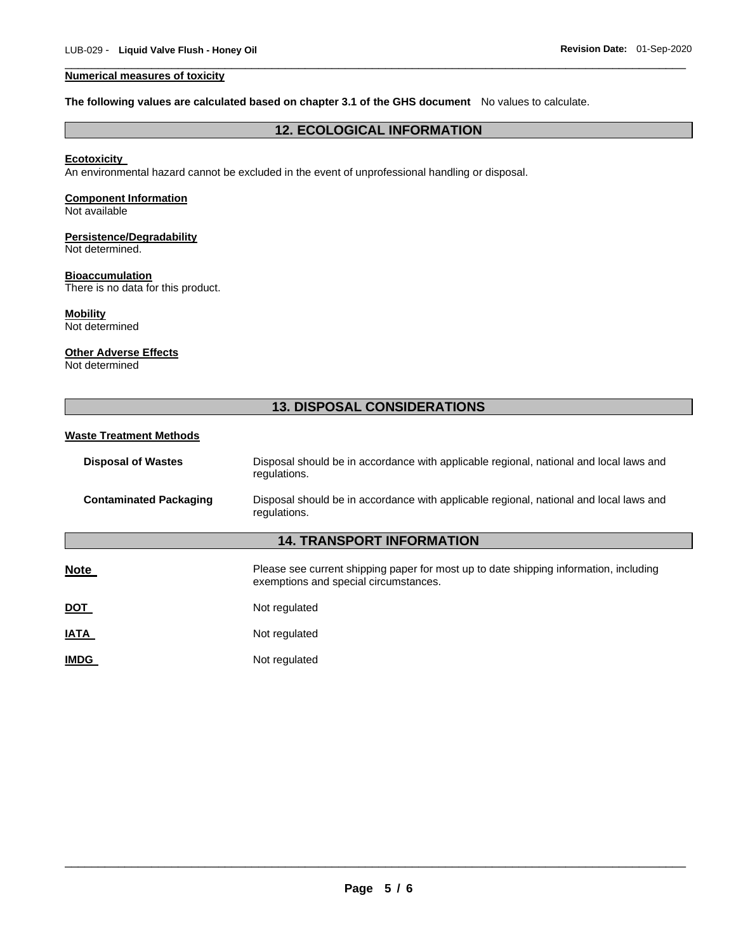## **Numerical measures of toxicity**

#### **The following values are calculated based on chapter 3.1 of the GHS document** No values to calculate.

## **12. ECOLOGICAL INFORMATION**

\_\_\_\_\_\_\_\_\_\_\_\_\_\_\_\_\_\_\_\_\_\_\_\_\_\_\_\_\_\_\_\_\_\_\_\_\_\_\_\_\_\_\_\_\_\_\_\_\_\_\_\_\_\_\_\_\_\_\_\_\_\_\_\_\_\_\_\_\_\_\_\_\_\_\_\_\_\_\_\_\_\_\_\_\_\_\_\_\_\_\_\_\_

## **Ecotoxicity**

An environmental hazard cannot be excluded in the event of unprofessional handling or disposal.

## **Component Information**

Not available

#### **Persistence/Degradability** Not determined.

#### **Bioaccumulation**

There is no data for this product.

# **Mobility**

Not determined

#### **Other Adverse Effects**

Not determined

## **13. DISPOSAL CONSIDERATIONS**

## **Waste Treatment Methods**

| <b>Disposal of Wastes</b>     | Disposal should be in accordance with applicable regional, national and local laws and<br>regulations. |
|-------------------------------|--------------------------------------------------------------------------------------------------------|
| <b>Contaminated Packaging</b> | Disposal should be in accordance with applicable regional, national and local laws and<br>regulations. |

# **14. TRANSPORT INFORMATION**

**Note** Please see current shipping paper for most up to date shipping information, including exemptions and special circumstances.

| Not regulated |
|---------------|
|               |

**IATA** Not regulated

**IMDG** Not regulated